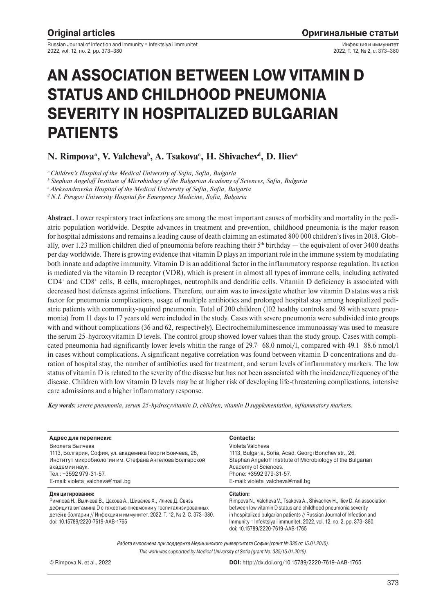Russian Journal of Infection and Immunity = Infektsiya i immunitet 2022, vol. 12, no. 2, pp. 373–380

Инфекция и иммунитет 2022, Т. 12, № 2, с. 373–380

# **AN ASSOCIATION BETWEEN LOW VITAMIN D STATUS AND CHILDHOOD PNEUMONIA SEVERITY IN HOSPITALIZED BULGARIAN PATIENTS**

# **N. Rimpovaa , V. Valchevab , A. Tsakovac , H. Shivachevd , D. Ilieva**

*a Children's Hospital of the Medical University of Sofia, Sofia, Bulgaria*

*b Stephan Angeloff Institute of Microbiology of the Bulgarian Academy of Sciences, Sofia, Bulgaria*

*c Aleksandrovska Hospital of the Medical University of Sofia, Sofia, Bulgaria*

*d N.I. Pirogov University Hospital for Emergency Medicine, Sofia, Bulgaria*

**Abstract.** Lower respiratory tract infections are among the most important causes of morbidity and mortality in the pediatric population worldwide. Despite advances in treatment and prevention, childhood pneumonia is the major reason for hospital admissions and remains a leading cause of death claiming an estimated 800 000 children's lives in 2018. Globally, over 1.23 million children died of pneumonia before reaching their  $5<sup>th</sup>$  birthday — the equivalent of over 3400 deaths per day worldwide. There is growing evidence that vitamin D plays an important role in the immune system by modulating both innate and adaptive immunity. Vitamin D is an additional factor in the inflammatory response regulation. Its action is mediated via the vitamin D receptor (VDR), which is present in almost all types of immune cells, including activated CD4+ and CD8+ cells, B cells, macrophages, neutrophils and dendritic cells. Vitamin D deficiency is associated with decreased host defenses against infections. Therefore, our aim was to investigate whether low vitamin D status was a risk factor for pneumonia complications, usage of multiple antibiotics and prolonged hospital stay among hospitalized pediatric patients with community-aquired pneumonia. Total of 200 children (102 healthy controls and 98 with severe pneumonia) from 11 days to 17 years old were included in the study. Cases with severe pneumonia were subdivided into groups with and without complications (36 and 62, respectively). Electrochemiluminescence immunoassay was used to measure the serum 25-hydroxyvitamin D levels. The control group showed lower values than the study group. Cases with complicated pneumonia had significantly lower levels whitin the range of 29.7–68.0 nmol/l, compared with 49.1–88.6 nmol/l in cases without complications. A significant negative correlation was found between vitamin D concentrations and duration of hospital stay, the number of antibiotics used for treatment, and serum levels of inflammatory markers. The low status of vitamin D is related to the severity of the disease but has not been associated with the incidence/frequency of the disease. Children with low vitamin D levels may be at higher risk of developing life-threatening complications, intensive care admissions and a higher inflammatory response.

*Key words: severe pneumonia, serum 25-hydroxyvitamin D, children, vitamin D supplementation, inflammatory markers.*

| Адрес для переписки:                                                                                                                                                                                       | <b>Contacts:</b>                                                                                                                                                                                                      |
|------------------------------------------------------------------------------------------------------------------------------------------------------------------------------------------------------------|-----------------------------------------------------------------------------------------------------------------------------------------------------------------------------------------------------------------------|
| Виолета Вылчева                                                                                                                                                                                            | Violeta Valcheva                                                                                                                                                                                                      |
| 1113, Болгария, София, ул. академика Георги Бончева, 26,                                                                                                                                                   | 1113, Bulgaria, Sofia, Acad. Georgi Bonchev str., 26,                                                                                                                                                                 |
| Институт микробиологии им. Стефана Ангелова Болгарской                                                                                                                                                     | Stephan Angeloff Institute of Microbiology of the Bulgarian                                                                                                                                                           |
| академии наук.                                                                                                                                                                                             | Academy of Sciences.                                                                                                                                                                                                  |
| Тел.: +3592 979-31-57.                                                                                                                                                                                     | Phone: +3592 979-31-57.                                                                                                                                                                                               |
| E-mail: violeta valcheva@mail.bg                                                                                                                                                                           | E-mail: violeta valcheva@mail.bg                                                                                                                                                                                      |
| Для цитирования:                                                                                                                                                                                           | <b>Citation:</b>                                                                                                                                                                                                      |
| Римпова Н., Вылчева В., Цакова А., Шивачев Х., Илиев Д. Связь<br>дефицита витамина D с тяжестью пневмонии у госпитализированных<br>детей в болгарии // Инфекция и иммунитет. 2022. Т. 12, № 2. С. 373-380. | Rimpova N., Valcheva V., Tsakova A., Shivachev H., Iliev D. An association<br>between low vitamin D status and childhood pneumonia severity<br>in hospitalized bulgarian patients // Russian Journal of Infection and |
| doi: 10.15789/2220-7619-AAB-1765                                                                                                                                                                           | Immunity = Infektsiya i immunitet, 2022, vol. 12, no. 2, pp. 373–380.<br>doi: 10.15789/2220-7619-AAB-1765                                                                                                             |
|                                                                                                                                                                                                            | Работа выполнена при поддержке Медицинского университета Софии (грант № 335 от 15.01.2015).                                                                                                                           |
|                                                                                                                                                                                                            | This work was supported by Medical University of Sofia (grant No. 335/15.01.2015).                                                                                                                                    |
| © Rimpova N. et al., 2022                                                                                                                                                                                  | DOI: http://dx.doi.org/10.15789/2220-7619-AAB-1765                                                                                                                                                                    |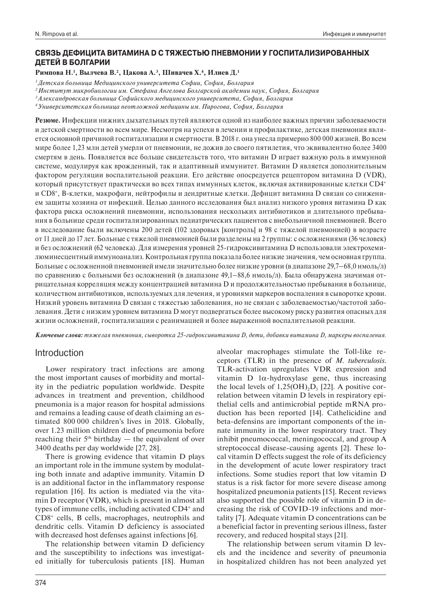## **СВЯЗЬ ДЕФИЦИТА ВИТАМИНА D С ТЯЖЕСТЬЮ ПНЕВМОНИИ У ГОСПИТАЛИЗИРОВАННЫХ ДЕТЕЙ В БОЛГАРИИ**

## **Римпова Н.1 , Вылчева В.2 , Цакова А.3 , Шивачев Х.4 , Илиев Д.1**

*1 Детская больница Медицинского университета Софии, София, Болгария*

*3 Александровская больница Софийского медицинского университета, София, Болгария*

*4 Университетская больница неотложной медицины им. Пирогова, София, Болгария*

**Резюме.** Инфекции нижних дыхательных путей являются одной из наиболее важных причин заболеваемости и детской смертности во всем мире. Несмотря на успехи в лечении и профилактике, детская пневмония является основной причиной госпитализации и смертности. В 2018 г. она унесла примерно 800 000 жизней. Во всем мире более 1,23 млн детей умерли от пневмонии, не дожив до своего пятилетия, что эквивалентно более 3400 смертям в день. Появляется все больше свидетельств того, что витамин D играет важную роль в иммунной системе, модулируя как врожденный, так и адаптивный иммунитет. Витамин D является дополнительным фактором регуляции воспалительной реакции. Его действие опосредуется рецептором витамина D (VDR), который присутствует практически во всех типах иммунных клеток, включая активированные клетки CD4+ и CD8+, В-клетки, макрофаги, нейтрофилы и дендритные клетки. Дефицит витамина D связан со снижением защиты хозяина от инфекций. Целью данного исследования был анализ низкого уровня витамина D как фактора риска осложнений пневмонии, использования нескольких антибиотиков и длительного пребывания в больнице среди госпитализированных педиатрических пациентов с внебольничной пневмонией. Всего в исследование были включены 200 детей (102 здоровых [контроль] и 98 с тяжелой пневмонией) в возрасте от 11 дней до 17 лет. Больные с тяжелой пневмонией были разделены на 2 группы: с осложнениями (36 человек) и без осложнений (62 человека). Для измерения уровней 25-гидроксивитамина D использовали электрохемилюминесцентный иммуноанализ. Контрольная группа показала более низкие значения, чем основная группа. Больные с осложненной пневмонией имели значительно более низкие уровни (в диапазоне 29,7–68,0 нмоль/л) по сравнению с больными без осложнений (в диапазоне 49,1–88,6 нмоль/л). Была обнаружена значимая отрицательная корреляция между концентрацией витамина D и продолжительностью пребывания в больнице, количеством антибиотиков, используемых для лечения, и уровнями маркеров воспаления в сыворотке крови. Низкий уровень витамина D связан с тяжестью заболевания, но не связан с заболеваемостью/частотой заболевания. Дети с низким уровнем витамина D могут подвергаться более высокому риску развития опасных для жизни осложнений, госпитализации с реанимацией и более выраженной воспалительной реакции.

*Ключевые слова: тяжелая пневмония, сыворотка 25-гидроксивитамина D, дети, добавки витамина D, маркеры воспаления.*

# Introduction

Lower respiratory tract infections are among the most important causes of morbidity and mortality in the pediatric population worldwide. Despite advances in treatment and prevention, childhood pneumonia is a major reason for hospital admissions and remains a leading cause of death claiming an estimated 800 000 children's lives in 2018. Globally, over 1.23 million children died of pneumonia before reaching their  $5<sup>th</sup>$  birthday — the equivalent of over 3400 deaths per day worldwide [27, 28].

There is growing evidence that vitamin D plays an important role in the immune system by modulating both innate and adaptive immunity. Vitamin D is an additional factor in the inflammatory response regulation [16]. Its action is mediated via the vitamin D receptor (VDR), which is present in almost all types of immune cells, including activated CD4+ and CD8+ cells, B cells, macrophages, neutrophils and dendritic cells. Vitamin D deficiency is associated with decreased host defenses against infections [6].

The relationship between vitamin D deficiency and the susceptibility to infections was investigated initially for tuberculosis patients [18]. Human

alveolar macrophages stimulate the Toll-like receptors (TLR) in the presence of *M. tuberculosis*. TLR-activation upregulates VDR expression and vitamin D 1α-hydroxylase gene, thus increasing the local levels of  $1,25(OH), D$ <sub>3</sub> [22]. A positive correlation between vitamin D levels in respiratory epithelial cells and antimicrobial peptide mRNA production has been reported [14]. Cathelicidine and beta-defensins are important components of the innate immunity in the lower respiratory tract. They inhibit pneumococcal, meningococcal, and group A streptococcal disease-causing agents [2]. These local vitamin D effects suggest the role of its deficiency in the development of acute lower respiratory tract infections. Some studies report that low vitamin D status is a risk factor for more severe disease among hospitalized pneumonia patients [15]. Recent reviews also supported the possible role of vitamin D in decreasing the risk of COVID-19 infections and mortality [7]. Adequate vitamin D concentrations can be a beneficial factor in preventing serious illness, faster recovery, and reduced hospital stays [21].

The relationship between serum vitamin D levels and the incidence and severity of pneumonia in hospitalized children has not been analyzed yet

*<sup>2</sup> Институт микробиологии им. Стефана Ангелова Болгарской академии наук, София, Болгария*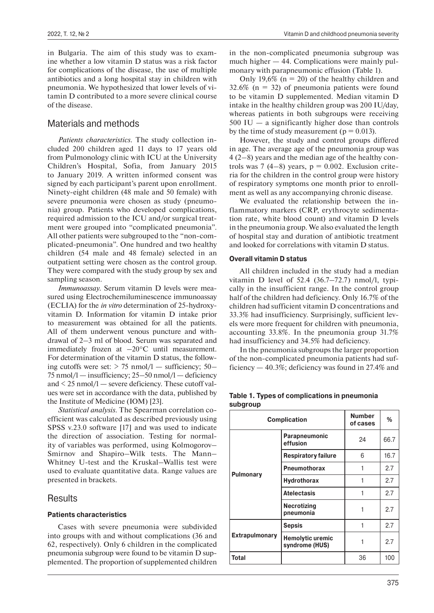in Bulgaria. The aim of this study was to examine whether a low vitamin D status was a risk factor for complications of the disease, the use of multiple antibiotics and a long hospital stay in children with pneumonia. We hypothesized that lower levels of vitamin D contributed to a more severe clinical course of the disease.

# Materials and methods

*Patients characteristics.* The study collection included 200 children aged 11 days to 17 years old from Pulmonology clinic with ICU at the University Children's Hospital, Sofia, from January 2015 to January 2019. A written informed consent was signed by each participant's parent upon enrollment. Ninety-eight children (48 male and 50 female) with severe pneumonia were chosen as study (pneumonia) group. Patients who developed complications, required admission to the ICU and/or surgical treatment were grouped into "complicated pneumonia". All other patients were subgrouped to the "non-complicated-pneumonia". One hundred and two healthy children (54 male and 48 female) selected in an outpatient setting were chosen as the control group. They were compared with the study group by sex and sampling season.

*Immunoassay.* Serum vitamin D levels were measured using Electrochemiluminescence immunoassay (ECLIA) for the *in vitro* determination of 25-hydroxyvitamin D. Information for vitamin D intake prior to measurement was obtained for all the patients. All of them underwent venous puncture and withdrawal of 2–3 ml of blood. Serum was separated and immediately frozen at –20°C until measurement. For determination of the vitamin D status, the following cutoffs were set:  $> 75$  nmol/l — sufficiency; 50— 75 nmol/l — insufficiency; 25–50 nmol/l — deficiency and  $\leq$  25 nmol/l — severe deficiency. These cutoff values were set in accordance with the data, published by the Institute of Medicine (IOM) [23].

*Statistical analysis.* The Spearman correlation coefficient was calculated as described previously using SPSS v.23.0 software [17] and was used to indicate the direction of association. Testing for normality of variables was performed, using Kolmogorov– Smirnov and Shapiro–Wilk tests. The Mann– Whitney U-test and the Kruskal–Wallis test were used to evaluate quantitative data. Range values are presented in brackets.

## **Results**

## **Patients characteristics**

Cases with severe pneumonia were subdivided into groups with and without complications (36 and 62, respectively). Only 6 children in the complicated pneumonia subgroup were found to be vitamin D supplemented. The proportion of supplemented children in the non-complicated pneumonia subgroup was much higher — 44. Complications were mainly pulmonary with parapneumonic effusion (Table 1).

Only 19,6% ( $n = 20$ ) of the healthy children and  $32.6\%$  (n = 32) of pneumonia patients were found to be vitamin D supplemented. Median vitamin D intake in the healthy children group was 200 IU/day, whereas patients in both subgroups were receiving 500 IU — a significantly higher dose than controls by the time of study measurement ( $p = 0.013$ ).

However, the study and control groups differed in age. The average age of the pneumonia group was 4 (2–8) years and the median age of the healthy controls was 7 (4–8) years,  $p = 0.002$ . Exclusion criteria for the children in the control group were history of respiratory symptoms one month prior to enrollment as well as any accompanying chronic disease.

We evaluated the relationship between the inflammatory markers (CRP, erythrocyte sedimentation rate, white blood count) and vitamin D levels in the pneumonia group. We also evaluated the length of hospital stay and duration of antibiotic treatment and looked for correlations with vitamin D status.

### **Overall vitamin D status**

All children included in the study had a median vitamin D level of 52.4 (36.7–72.7) nmol/l, typically in the insufficient range. In the control group half of the children had deficiency. Only 16.7% of the children had sufficient vitamin D concentrations and 33.3% had insufficiency. Surprisingly, sufficient levels were more frequent for children with pneumonia, accounting 33.8%. In the pneumonia group 31.7% had insufficiency and 34.5% had deficiency.

In the pneumonia subgroups the larger proportion of the non-complicated pneumonia patients had sufficiency — 40.3%; deficiency was found in 27.4% and

| <b>Complication</b>   |                                           | <b>Number</b><br>of cases | %    |
|-----------------------|-------------------------------------------|---------------------------|------|
| <b>Pulmonary</b>      | Parapneumonic<br>effusion                 | 24                        | 66.7 |
|                       | <b>Respiratory failure</b>                | 6                         | 16.7 |
|                       | <b>Pneumothorax</b>                       |                           | 2.7  |
|                       | Hydrothorax                               |                           | 2.7  |
|                       | <b>Atelectasis</b>                        |                           | 2.7  |
|                       | <b>Necrotizing</b><br>pneumonia           |                           | 2.7  |
|                       | <b>Sepsis</b>                             |                           | 2.7  |
| <b>Extrapulmonary</b> | <b>Hemolytic uremic</b><br>syndrome (HUS) |                           | 2.7  |
| Total                 |                                           | 36                        | 100  |

#### **Table 1. Types of complications in pneumonia subgroup**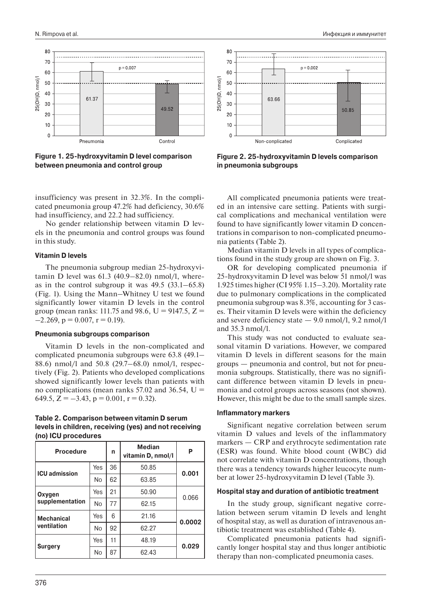

**Figure 1. 25-hydroxyvitamin D level comparison between pneumonia and control group**

insufficiency was present in 32.3%. In the complicated pneumonia group 47.2% had deficiency, 30.6% had insufficiency, and 22.2 had sufficiency.

No gender relationship between vitamin D levels in the pneumonia and control groups was found in this study.

### **Vitamin D levels**

The pneumonia subgroup median 25-hydroxyvitamin D level was  $61.3$   $(40.9-82.0)$  nmol/l, whereas in the control subgroup it was  $49.5$  (33.1–65.8) (Fig. 1). Using the Mann–Whitney U test we found significantly lower vitamin D levels in the control group (mean ranks: 111.75 and 98.6, U = 9147.5, Z =  $-2.269$ ,  $p = 0.007$ ,  $r = 0.19$ ).

#### **Pneumonia subgroups comparison**

Vitamin D levels in the non-complicated and complicated pneumonia subgroups were 63.8 (49.1– 88.6) nmol/l and 50.8 (29.7–68.0) nmol/l, respectively (Fig. 2). Patients who developed complications showed significantly lower levels than patients with no complications (mean ranks  $57.02$  and  $36.54$ , U = 649.5,  $Z = -3.43$ ,  $p = 0.001$ ,  $r = 0.32$ ).

## **Table 2. Comparison between vitamin D serum levels in children, receiving (yes) and not receiving (no) ICU procedures**

| <b>Procedure</b>     |           | n  | <b>Median</b><br>vitamin D, nmol/l | P      |
|----------------------|-----------|----|------------------------------------|--------|
| <b>ICU</b> admission | Yes       | 36 | 50.85                              | 0.001  |
|                      | No        | 62 | 63.85                              |        |
| Oxygen               | Yes       | 21 | 50.90                              | 0.066  |
| supplementation      | <b>No</b> | 77 | 62.15                              |        |
| <b>Mechanical</b>    | Yes       | 6  | 21.16                              | 0.0002 |
| ventilation          | No        | 92 | 62.27                              |        |
|                      | Yes       | 11 | 48.19                              | 0.029  |
| <b>Surgery</b>       | No        | 87 | 62.43                              |        |



**Figure 2. 25-hydroxyvitamin D levels comparison in pneumonia subgroups**

All complicated pneumonia patients were treated in an intensive care setting. Patients with surgical complications and mechanical ventilation were found to have significantly lower vitamin D concentrations in comparison to non-complicated pneumonia patients (Table 2).

Median vitamin D levels in all types of complications found in the study group are shown on Fig. 3.

ОR for developing complicated pneumonia if 25-hydroxyvitamin D level was below 51 nmol/l was 1.925 times higher (CI 95% 1.15–3.20). Mortality rate due to pulmonary complications in the complicated pneumonia subgroup was 8.3%, accounting for 3 cases. Their vitamin D levels were within the deficiency and severe deficiency state  $-$  9.0 nmol/l, 9.2 nmol/l and 35.3 nmol/l.

This study was not conducted to evaluate seasonal vitamin D variations. However, we compared vitamin D levels in different seasons for the main groups — pneumonia and control, but not for pneumonia subgroups. Statistically, there was no significant difference between vitamin D levels in pneumonia and cotrol groups across seasons (not shown). However, this might be due to the small sample sizes.

#### **Inflammatory markers**

Significant negative correlation between serum vitamin D values and levels of the inflammatory markers — CRP and erythrocyte sedimentation rate (ESR) was found. White blood count (WBC) did not correlate with vitamin D concentrations, though there was a tendency towards higher leucocyte number at lower 25-hydroxyvitamin D level (Table 3).

#### **Hospital stay and duration of antibiotic treatment**

In the study group, significant negative correlation between serum vitamin D levels and lenght of hospital stay, as well as duration of intravenous antibiotic treatment was established (Table 4).

Complicated pneumonia patients had significantly longer hospital stay and thus longer antibiotic therapy than non-complicated pneumonia cases.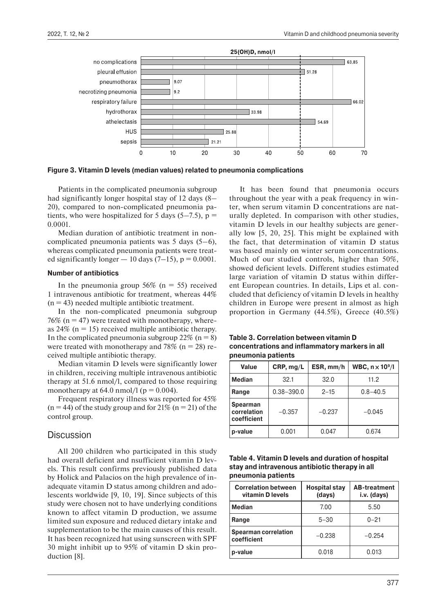

**Figure 3. Vitamin D levels (median values) related to pneumonia complications**

Patients in the complicated pneumonia subgroup had significantly longer hospital stay of 12 days (8– 20), compared to non-complicated pneumonia patients, who were hospitalized for 5 days  $(5-7.5)$ , p = 0.0001.

Median duration of antibiotic treatment in noncomplicated pneumonia patients was 5 days (5–6), whereas complicated pneumonia patients were treated significantly longer  $-10$  days (7–15), p = 0.0001.

#### **Number of antibiotics**

In the pneumonia group  $56\%$  (n = 55) received 1 intravenous antibiotic for treatment, whereas 44%  $(n = 43)$  needed multiple antibiotic treatment.

In the non-complicated pneumonia subgroup 76% ( $n = 47$ ) were treated with monotherapy, whereas  $24\%$  (n = 15) received multiple antibiotic therapy. In the complicated pneumonia subgroup  $22\%$  (n = 8) were treated with monotherapy and 78% ( $n = 28$ ) received multiple antibiotic therapy.

Median vitamin D levels were significantly lower in children, receiving multiple intravenous antibiotic therapy at 51.6 nmol/l, compared to those requiring monotherapy at 64.0 nmol/l ( $p = 0.004$ ).

Frequent respiratory illness was reported for 45%  $(n = 44)$  of the study group and for 21%  $(n = 21)$  of the control group.

## **Discussion**

All 200 children who participated in this study had overall deficient and nsufficient vitamin D levels. This result confirms previously published data by Holick and Palacios on the high prevalence of inadequate vitamin D status among children and adolescents worldwide [9, 10, 19]. Since subjects of this study were chosen not to have underlying conditions known to affect vitamin D production, we assume limited sun exposure and reduced dietary intake and supplementation to be the main causes of this result. It has been recognized hat using sunscreen with SPF 30 might inhibit up to 95% of vitamin D skin production [8].

It has been found that pneumonia occurs throughout the year with a peak frequency in winter, when serum vitamin D concentrations are naturally depleted. In comparison with other studies, vitamin D levels in our healthy subjects are generally low [5, 20, 25]. This might be explained with the fact, that determination of vitamin D status was based mainly on winter serum concentrations. Much of our studied controls, higher than 50%, showed deficient levels. Different studies estimated large variation of vitamin D status within different European countries. In details, Lips et al. concluded that deficiency of vitamin D levels in healthy children in Europe were present in almost as high proportion in Germany (44.5%), Greece (40.5%)

**Table 3. Correlation between vitamin D concentrations and inflammatory markers in all pneumonia patients**

| Value                                                     | CRP, mg/L      | ESR, mm/h | WBC, $n \times 10^9/l$ |
|-----------------------------------------------------------|----------------|-----------|------------------------|
| <b>Median</b>                                             | 32.1           | 32.0      | 11.2                   |
| Range                                                     | $0.38 - 390.0$ | $2 - 15$  | $0.8 - 40.5$           |
| <b>Spearman</b><br>correlation<br>$-0.357$<br>coefficient |                | $-0.237$  | $-0.045$               |
| p-value                                                   | 0.001          | 0.047     | 0.674                  |

| Table 4. Vitamin D levels and duration of hospital |
|----------------------------------------------------|
| stay and intravenous antibiotic therapy in all     |
| pneumonia patients                                 |

| <b>Correlation between</b><br>vitamin D levels | <b>Hospital stay</b><br>(days) | <b>AB-treatment</b><br>i.v. (days) |
|------------------------------------------------|--------------------------------|------------------------------------|
| Median                                         | 7.00                           | 5.50                               |
| Range                                          | $5 - 30$                       | $0 - 21$                           |
| <b>Spearman correlation</b><br>coefficient     | $-0.238$                       | $-0.254$                           |
| p-value                                        | 0.018                          | 0.013                              |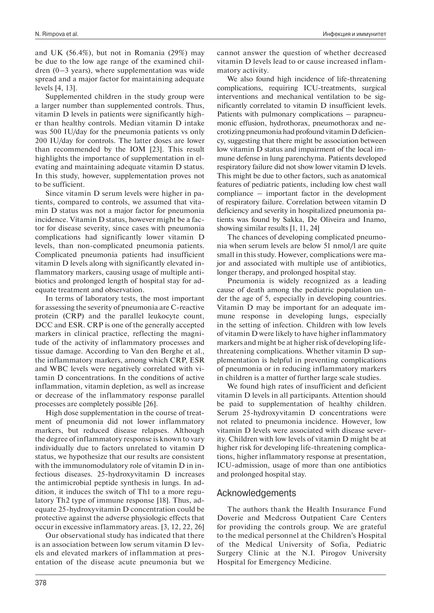and UK (56.4%), but not in Romania (29%) may be due to the low age range of the examined children (0–3 years), where supplementation was wide spread and a major factor for maintaining adequate levels [4, 13].

Supplemented children in the study group were a larger number than supplemented controls. Thus, vitamin D levels in patients were significantly higher than healthy controls. Median vitamin D intake was 500 IU/day for the pneumonia patients vs only 200 IU/day for controls. The latter doses are lower than recommended by the IOM [23]. This result highlights the importance of supplementation in elevating and maintaining adequate vitamin D status. In this study, however, supplementation proves not to be sufficient.

Since vitamin D serum levels were higher in patients, compared to controls, we assumed that vitamin D status was not a major factor for pneumonia incidence. Vitamin D status, however might be a factor for disease severity, since cases with pneumonia complications had significantly lower vitamin D levels, than non-complicated pneumonia patients. Complicated pneumonia patients had insufficient vitamin D levels along with significantly elevated inflammatory markers, causing usage of multiple antibiotics and prolonged length of hospital stay for adequate treatment and observation.

In terms of laboratory tests, the most important for assessing the severity of pneumonia are C-reactive protein (CRP) and the parallel leukocyte count, DCC and ESR. CRP is one of the generally accepted markers in clinical practice, reflecting the magnitude of the activity of inflammatory processes and tissue damage. According to Van den Berghe et al., the inflammatory markers, among which CRP, ESR and WBC levels were negatively correlated with vitamin D concentrations. In the conditions of active inflammation, vitamin depletion, as well as increase or decrease of the inflammatory response parallel processes are completely possible [26].

High dose supplementation in the course of treatment of pneumonia did not lower inflammatory markers, but reduced disease relapses. Although the degree of inflammatory response is known to vary individually due to factors unrelated to vitamin D status, we hypothesize that our results are consistent with the immunomodulatory role of vitamin D in infectious diseases. 25-hydroxyvitamin D increases the antimicrobial peptide synthesis in lungs. In addition, it induces the switch of Th1 to a more regulatory Th2 type of immune response [18]. Thus, adequate 25-hydroxyvitamin D concentration could be protective against the adverse physiologic effects that occur in excessive inflammatory areas. [3, 12, 22, 26]

Our observational study has indicated that there is an association between low serum vitamin D levels and elevated markers of inflammation at presentation of the disease acute pneumonia but we

378

cannot answer the question of whether decreased vitamin D levels lead to or cause increased inflammatory activity.

We also found high incidence of life-threatening complications, requiring ICU-treatments, surgical interventions and mechanical ventilation to be significantly correlated to vitamin D insufficient levels. Patients with pulmonary complications – parapneumonic effusion, hydrothorax, pneumothorax and necrotizing pneumonia had profound vitamin D deficiency, suggesting that there might be association between low vitamin D status and impairment of the local immune defense in lung parenchyma. Patients developed respiratory failure did not show lower vitamin D levels. This might be due to other factors, such as anatomical features of pediatric patients, including low chest wall compliance – important factor in the development of respiratory failure. Correlation between vitamin D deficiency and severity in hospitalized pneumonia patients was found by Sakka, De Oliveira and Inamo, showing similar results [1, 11, 24]

The chances of developing complicated pneumonia when serum levels are below 51 nmol/l are quite small in this study. However, complications were major and associated with multiple use of antibiotics, longer therapy, and prolonged hospital stay.

Pneumonia is widely recognized as a leading cause of death among the pediatric population under the age of 5, especially in developing countries. Vitamin D may be important for an adequate immune response in developing lungs, especially in the setting of infection. Children with low levels of vitamin D were likely to have higher inflammatory markers and might be at higher risk of developing lifethreatening complications. Whether vitamin D supplementation is helpful in preventing complications of pneumonia or in reducing inflammatory markers in children is a matter of further large scale studies.

We found high rates of insufficient and deficient vitamin D levels in all participants. Attention should be paid to supplementation of healthy children. Serum 25-hydroxyvitamin D concentrations were not related to pneumonia incidence. However, low vitamin D levels were associated with disease severity. Children with low levels of vitamin D might be at higher risk for developing life-threatening complications, higher inflammatory response at presentation, ICU-admission, usage of more than one antibiotics and prolonged hospital stay.

## Acknowledgements

The authors thank the Health Insurance Fund Doverie and Medcross Outpatient Care Centers for providing the controls group. We are grateful to the medical personnel at the Children's Hospital of the Medical University of Sofia, Pediatric Surgery Clinic at the N.I. Pirogov University Hospital for Emergency Medicine.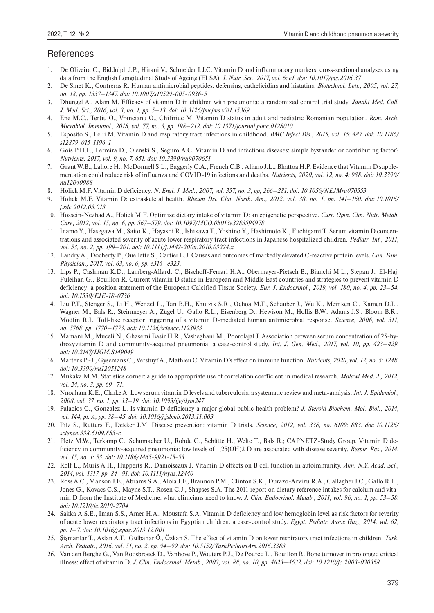# **References**

- 1. De Oliveira C., Biddulph J.P., Hirani V., Schneider I.J.C. Vitamin D and inflammatory markers: cross-sectional analyses using data from the English Longitudinal Study of Ageing (ELSA). *J. Nutr. Sci., 2017, vol. 6: e1. doi: 10.1017/jns.2016.37*
- 2. De Smet K., Contreras R. Human antimicrobial peptides: defensins, cathelicidins and histatins. *Biotechnol. Lett., 2005, vol. 27, no. 18, pp. 1337–1347. doi: 10.1007/s10529-005-0936-5*
- 3. Dhungel A., Alam M. Efficacy of vitamin D in children with pneumonia: a randomized control trial study. *Janaki Med. Coll. J. Med. Sci., 2016, vol. 3, no. 1, pp. 5–13. doi: 10.3126/jmcjms.v3i1.15369*
- 4. Ene M.C., Tertiu O., Vrancianu O., Chifiriuc M. Vitamin D status in adult and pediatric Romanian population. *Rom. Arch. Microbiol. Immunol., 2018, vol. 77, no. 3, pp. 198–212. doi: 10.1371/journal.pone.0128010*
- 5. Esposito S., Lelii M. Vitamin D and respiratory tract infections in childhood. *BMC Infect Dis., 2015, vol. 15: 487. doi: 10.1186/ s12879-015-1196-1*
- 6. Gois P.H.F., Ferreira D., Olenski S., Seguro A.C. Vitamin D and infectious diseases: simple bystander or contributing factor? *Nutrients, 2017, vol. 9, no. 7: 651. doi: 10.3390/nu9070651*
- 7. Grant W.B., Lahore H., McDonnell S.L., Baggerly C.A., French C.B., Aliano J.L., Bhattoa H.P. Evidence that Vitamin D supplementation could reduce risk of influenza and COVID-19 infections and deaths. *Nutrients, 2020, vol. 12, no. 4: 988. doi: 10.3390/ nu12040988*
- 8. Holick M.F. Vitamin D deficiency. *N. Engl. J. Med., 2007, vol. 357, no. 3, pp, 266–281. doi: 10.1056/NEJMra070553*
- 9. Holick M.F. Vitamin D: extraskeletal health. *Rheum Dis. Clin. North. Am., 2012, vol. 38, no. 1, pp. 141–160. doi: 10.1016/ j.rdc.2012.03.013*
- 10. Hossein-Nezhad A., Holick M.F. Optimize dietary intake of vitamin D: an epigenetic perspective. *Curr. Opin. Clin. Nutr. Metab. Care, 2012, vol. 15, no. 6, pp. 567–579. doi: 10.1097/MCO.0b013e3283594978*
- 11. Inamo Y., Hasegawa M., Saito K., Hayashi R., Ishikawa T., Yoshino Y., Hashimoto K., Fuchigami T. Serum vitamin D concentrations and associated severity of acute lower respiratory tract infections in Japanese hospitalized children. *Pediatr. Int., 2011, vol. 53, no. 2, pp. 199–201. doi: 10.1111/j.1442-200x.2010.03224.x*
- 12. Landry A., Docherty P., Ouellette S., Cartier L.J. Causes and outcomes of markedly elevated C-reactive protein levels. *Can. Fam. Physician., 2017, vol. 63, no. 6, pp. e316–e323.*
- 13. Lips P., Cashman K.D., Lamberg-Allardt C., Bischoff-Ferrari H.A., Obermayer-Pietsch B., Bianchi M.L., Stepan J., El-Hajj Fuleihan G., Bouillon R. Current vitamin D status in European and Middle East countries and strategies to prevent vitamin D deficiency: a position statement of the European Calcified Tissue Society. *Eur. J. Endocrinol., 2019, vol. 180, no. 4, pp. 23–54. doi: 10.1530/EJE-18-0736*
- 14. Liu P.T., Stenger S., Li H., Wenzel L., Tan B.H., Krutzik S.R., Ochoa M.T., Schauber J., Wu K., Meinken C., Kamen D.L., Wagner M., Bals R., Steinmeyer A., Zügel U., Gallo R.L., Eisenberg D., Hewison M., Hollis B.W., Adams J.S., Bloom B.R., Modlin R.L. Toll-like receptor triggering of a vitamin D-mediated human antimicrobial response. *Science, 2006, vol. 311, no. 5768, pp. 1770–1773. doi: 10.1126/science.1123933*
- 15. Mamani M., Muceli N., Ghasemi Basir H.R., Vasheghani M., Poorolajal J. Association between serum concentration of 25-hydroxyvitamin D and community-acquired pneumonia: a case-control study. *Int. J. Gen. Med., 2017, vol. 10, pp. 423–429. doi: 10.2147/IJGM.S149049*
- 16. Martens P.-J., Gysemans C., Verstuyf A., Mathieu C. Vitamin D's effect on immune function. *Nutrients, 2020, vol. 12, no. 5: 1248. doi: 10.3390/nu12051248*
- 17. Mukaka M.M. Statistics corner: a guide to appropriate use of correlation coefficient in medical research. *Malawi Med. J., 2012, vol. 24, no. 3, pp. 69–71.*
- 18. Nnoaham K.E., Clarke A. Low serum vitamin D levels and tuberculosis: a systematic review and meta-analysis. *Int. J. Epidemiol., 2008, vol. 37, no. 1, pp. 13–19. doi: 10.1093/ije/dym247*
- 19. Palacios C., Gonzalez L. Is vitamin D deficiency a major global public health problem? *J. Steroid Biochem. Mol. Biol., 2014, vol. 144, pt. A, pp. 38–45. doi: 10.1016/j.jsbmb.2013.11.003*
- 20. Pilz S., Rutters F., Dekker J.M. Disease prevention: vitamin D trials. *Science, 2012, vol. 338, no. 6109: 883. doi: 10.1126/ science.338.6109.883-c*
- 21. Pletz M.W., Terkamp C., Schumacher U., Rohde G., Schütte H., Welte T., Bals R.; CAPNETZ-Study Group. Vitamin D deficiency in community-acquired pneumonia: low levels of 1,25(OH)2 D are associated with disease severity. *Respir. Res., 2014, vol. 15, no. 1: 53. doi: 10.1186/1465-9921-15-53*
- 22. Rolf L., Muris A.H., Hupperts R., Damoiseaux J. Vitamin D effects on B cell function in autoimmunity. *Ann. N.Y. Acad. Sci., 2014, vol. 1317, pp. 84–91. doi: 10.1111/nyas.12440*
- 23. Ross A.C., Manson J.E., Abrams S.A., Aloia J.F., Brannon P.M., Clinton S.K., Durazo-Arvizu R.A., Gallagher J.C., Gallo R.L., Jones G., Kovacs C.S., Mayne S.T., Rosen C.J., Shapses S.A. The 2011 report on dietary reference intakes for calcium and vitamin D from the Institute of Medicine: what clinicians need to know. *J. Clin. Endocrinol. Metab., 2011, vol. 96, no. 1, pp. 53–58. doi: 10.1210/jc.2010-2704*
- 24. Sakka A.S.E., Iman S.S., Amer H.A., Moustafa S.A. Vitamin D deficiency and low hemoglobin level as risk factors for severity of acute lower respiratory tract infections in Egyptian children: a case-control study. *Egypt. Pediatr. Assoc Gaz., 2014, vol. 62, pp. 1–7. doi: 10.1016/j.epag.2013.12.001*
- 25. Şişmanlar T., Aslan A.T., Gülbahar Ö., Özkan S. The effect of vitamin D on lower respiratory tract infections in children. *Turk. Arch. Pediatr., 2016, vol. 51, no. 2, pp. 94–99. doi: 10.5152/TurkPediatriArs.2016.3383*
- 26. Van den Berghe G., Van Roosbroeck D., Vanhove P., Wouters P.J., De Pourcq L., Bouillon R. Bone turnover in prolonged critical illness: effect of vitamin D. *J. Clin. Endocrinol. Metab., 2003, vol. 88, no. 10, pp. 4623–4632. doi: 10.1210/jc.2003-030358*